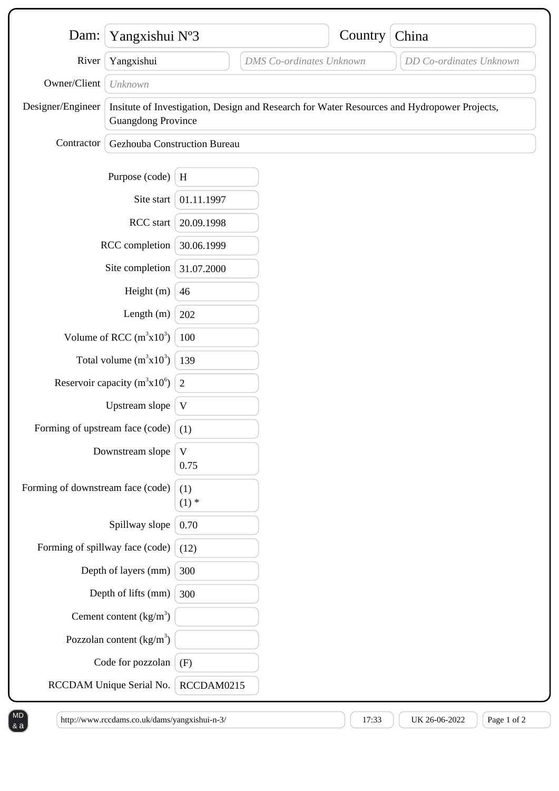| Yangxishui N°3                                          |                                                                                                                          |                      |                                 |         |                         |
|---------------------------------------------------------|--------------------------------------------------------------------------------------------------------------------------|----------------------|---------------------------------|---------|-------------------------|
| Dam:                                                    |                                                                                                                          |                      |                                 | Country | China                   |
| River                                                   | Yangxishui                                                                                                               |                      | <b>DMS</b> Co-ordinates Unknown |         | DD Co-ordinates Unknown |
| Owner/Client                                            | Unknown                                                                                                                  |                      |                                 |         |                         |
| Designer/Engineer                                       | Insitute of Investigation, Design and Research for Water Resources and Hydropower Projects,<br><b>Guangdong Province</b> |                      |                                 |         |                         |
| Contractor                                              | Gezhouba Construction Bureau                                                                                             |                      |                                 |         |                         |
|                                                         | Purpose (code)                                                                                                           | H                    |                                 |         |                         |
| Site start                                              |                                                                                                                          | 01.11.1997           |                                 |         |                         |
| RCC start                                               |                                                                                                                          | 20.09.1998           |                                 |         |                         |
| RCC completion                                          |                                                                                                                          | 30.06.1999           |                                 |         |                         |
| Site completion                                         |                                                                                                                          | 31.07.2000           |                                 |         |                         |
| Height (m)                                              |                                                                                                                          | 46                   |                                 |         |                         |
| Length $(m)$                                            |                                                                                                                          | 202                  |                                 |         |                         |
| Volume of RCC $(m^3x10^3)$                              |                                                                                                                          | 100                  |                                 |         |                         |
| Total volume $(m^3x10^3)$   139                         |                                                                                                                          |                      |                                 |         |                         |
| Reservoir capacity (m <sup>3</sup> x10 <sup>6</sup> ) 2 |                                                                                                                          |                      |                                 |         |                         |
| Upstream slope                                          |                                                                                                                          | V                    |                                 |         |                         |
| Forming of upstream face (code) $(1)$                   |                                                                                                                          |                      |                                 |         |                         |
| Downstream slope                                        |                                                                                                                          | $\mathbf{V}$<br>0.75 |                                 |         |                         |
| Forming of downstream face (code)                       |                                                                                                                          | (1)<br>$(1)$ *       |                                 |         |                         |
| Spillway slope                                          |                                                                                                                          | 0.70                 |                                 |         |                         |
| Forming of spillway face (code)                         |                                                                                                                          | (12)                 |                                 |         |                         |
|                                                         | Depth of layers (mm)                                                                                                     | 300                  |                                 |         |                         |
|                                                         | Depth of lifts (mm)                                                                                                      | 300                  |                                 |         |                         |
|                                                         | Cement content $(kg/m3)$                                                                                                 |                      |                                 |         |                         |
| Pozzolan content $\frac{kg}{m^3}$                       |                                                                                                                          |                      |                                 |         |                         |
| Code for pozzolan                                       |                                                                                                                          | (F)                  |                                 |         |                         |
| RCCDAM Unique Serial No.                                |                                                                                                                          | RCCDAM0215           |                                 |         |                         |

MD & a